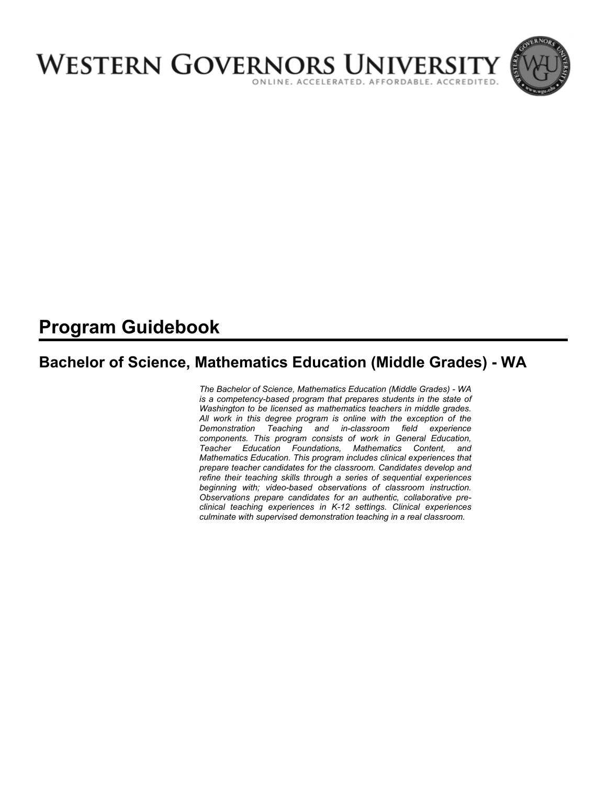

# **Program Guidebook**

# **Bachelor of Science, Mathematics Education (Middle Grades) - WA**

*The Bachelor of Science, Mathematics Education (Middle Grades) - WA is a competency-based program that prepares students in the state of Washington to be licensed as mathematics teachers in middle grades. All work in this degree program is online with the exception of the Demonstration Teaching and in-classroom field experience components. This program consists of work in General Education, Teacher Education Foundations, Mathematics Content, and Mathematics Education. This program includes clinical experiences that prepare teacher candidates for the classroom. Candidates develop and refine their teaching skills through a series of sequential experiences beginning with; video-based observations of classroom instruction. Observations prepare candidates for an authentic, collaborative preclinical teaching experiences in K-12 settings. Clinical experiences culminate with supervised demonstration teaching in a real classroom.*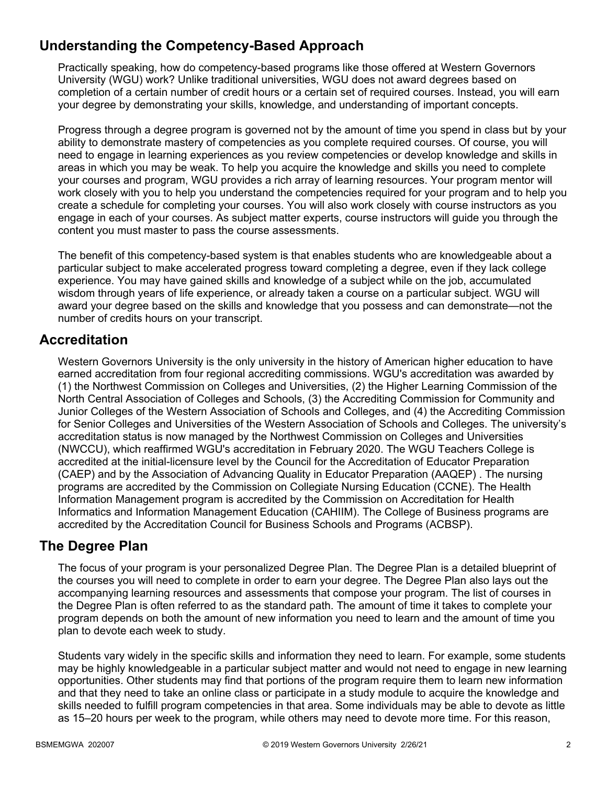# **Understanding the Competency-Based Approach**

Practically speaking, how do competency-based programs like those offered at Western Governors University (WGU) work? Unlike traditional universities, WGU does not award degrees based on completion of a certain number of credit hours or a certain set of required courses. Instead, you will earn your degree by demonstrating your skills, knowledge, and understanding of important concepts.

Progress through a degree program is governed not by the amount of time you spend in class but by your ability to demonstrate mastery of competencies as you complete required courses. Of course, you will need to engage in learning experiences as you review competencies or develop knowledge and skills in areas in which you may be weak. To help you acquire the knowledge and skills you need to complete your courses and program, WGU provides a rich array of learning resources. Your program mentor will work closely with you to help you understand the competencies required for your program and to help you create a schedule for completing your courses. You will also work closely with course instructors as you engage in each of your courses. As subject matter experts, course instructors will guide you through the content you must master to pass the course assessments.

The benefit of this competency-based system is that enables students who are knowledgeable about a particular subject to make accelerated progress toward completing a degree, even if they lack college experience. You may have gained skills and knowledge of a subject while on the job, accumulated wisdom through years of life experience, or already taken a course on a particular subject. WGU will award your degree based on the skills and knowledge that you possess and can demonstrate—not the number of credits hours on your transcript.

### **Accreditation**

Western Governors University is the only university in the history of American higher education to have earned accreditation from four regional accrediting commissions. WGU's accreditation was awarded by (1) the Northwest Commission on Colleges and Universities, (2) the Higher Learning Commission of the North Central Association of Colleges and Schools, (3) the Accrediting Commission for Community and Junior Colleges of the Western Association of Schools and Colleges, and (4) the Accrediting Commission for Senior Colleges and Universities of the Western Association of Schools and Colleges. The university's accreditation status is now managed by the Northwest Commission on Colleges and Universities (NWCCU), which reaffirmed WGU's accreditation in February 2020. The WGU Teachers College is accredited at the initial-licensure level by the Council for the Accreditation of Educator Preparation (CAEP) and by the Association of Advancing Quality in Educator Preparation (AAQEP) . The nursing programs are accredited by the Commission on Collegiate Nursing Education (CCNE). The Health Information Management program is accredited by the Commission on Accreditation for Health Informatics and Information Management Education (CAHIIM). The College of Business programs are accredited by the Accreditation Council for Business Schools and Programs (ACBSP).

### **The Degree Plan**

The focus of your program is your personalized Degree Plan. The Degree Plan is a detailed blueprint of the courses you will need to complete in order to earn your degree. The Degree Plan also lays out the accompanying learning resources and assessments that compose your program. The list of courses in the Degree Plan is often referred to as the standard path. The amount of time it takes to complete your program depends on both the amount of new information you need to learn and the amount of time you plan to devote each week to study.

Students vary widely in the specific skills and information they need to learn. For example, some students may be highly knowledgeable in a particular subject matter and would not need to engage in new learning opportunities. Other students may find that portions of the program require them to learn new information and that they need to take an online class or participate in a study module to acquire the knowledge and skills needed to fulfill program competencies in that area. Some individuals may be able to devote as little as 15–20 hours per week to the program, while others may need to devote more time. For this reason,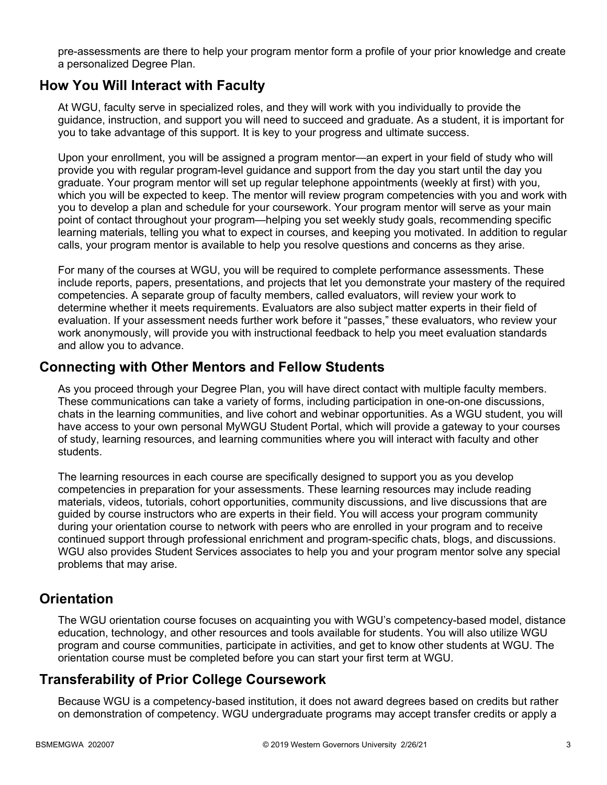pre-assessments are there to help your program mentor form a profile of your prior knowledge and create a personalized Degree Plan.

### **How You Will Interact with Faculty**

At WGU, faculty serve in specialized roles, and they will work with you individually to provide the guidance, instruction, and support you will need to succeed and graduate. As a student, it is important for you to take advantage of this support. It is key to your progress and ultimate success.

Upon your enrollment, you will be assigned a program mentor—an expert in your field of study who will provide you with regular program-level guidance and support from the day you start until the day you graduate. Your program mentor will set up regular telephone appointments (weekly at first) with you, which you will be expected to keep. The mentor will review program competencies with you and work with you to develop a plan and schedule for your coursework. Your program mentor will serve as your main point of contact throughout your program—helping you set weekly study goals, recommending specific learning materials, telling you what to expect in courses, and keeping you motivated. In addition to regular calls, your program mentor is available to help you resolve questions and concerns as they arise.

For many of the courses at WGU, you will be required to complete performance assessments. These include reports, papers, presentations, and projects that let you demonstrate your mastery of the required competencies. A separate group of faculty members, called evaluators, will review your work to determine whether it meets requirements. Evaluators are also subject matter experts in their field of evaluation. If your assessment needs further work before it "passes," these evaluators, who review your work anonymously, will provide you with instructional feedback to help you meet evaluation standards and allow you to advance.

### **Connecting with Other Mentors and Fellow Students**

As you proceed through your Degree Plan, you will have direct contact with multiple faculty members. These communications can take a variety of forms, including participation in one-on-one discussions, chats in the learning communities, and live cohort and webinar opportunities. As a WGU student, you will have access to your own personal MyWGU Student Portal, which will provide a gateway to your courses of study, learning resources, and learning communities where you will interact with faculty and other students.

The learning resources in each course are specifically designed to support you as you develop competencies in preparation for your assessments. These learning resources may include reading materials, videos, tutorials, cohort opportunities, community discussions, and live discussions that are guided by course instructors who are experts in their field. You will access your program community during your orientation course to network with peers who are enrolled in your program and to receive continued support through professional enrichment and program-specific chats, blogs, and discussions. WGU also provides Student Services associates to help you and your program mentor solve any special problems that may arise.

### **Orientation**

The WGU orientation course focuses on acquainting you with WGU's competency-based model, distance education, technology, and other resources and tools available for students. You will also utilize WGU program and course communities, participate in activities, and get to know other students at WGU. The orientation course must be completed before you can start your first term at WGU.

### **Transferability of Prior College Coursework**

Because WGU is a competency-based institution, it does not award degrees based on credits but rather on demonstration of competency. WGU undergraduate programs may accept transfer credits or apply a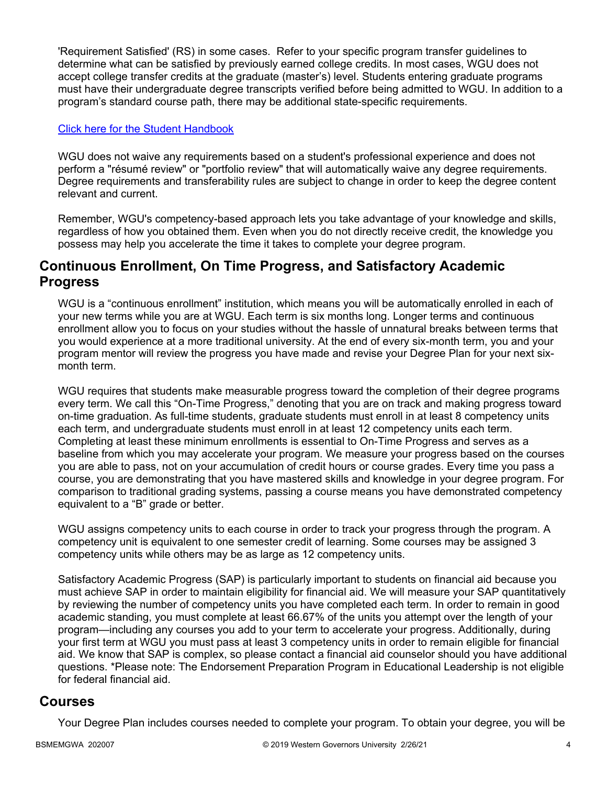'Requirement Satisfied' (RS) in some cases. Refer to your specific program transfer guidelines to determine what can be satisfied by previously earned college credits. In most cases, WGU does not accept college transfer credits at the graduate (master's) level. Students entering graduate programs must have their undergraduate degree transcripts verified before being admitted to WGU. In addition to a program's standard course path, there may be additional state-specific requirements.

#### [Click here for the Student Handbook](http://cm.wgu.edu/)

WGU does not waive any requirements based on a student's professional experience and does not perform a "résumé review" or "portfolio review" that will automatically waive any degree requirements. Degree requirements and transferability rules are subject to change in order to keep the degree content relevant and current.

Remember, WGU's competency-based approach lets you take advantage of your knowledge and skills, regardless of how you obtained them. Even when you do not directly receive credit, the knowledge you possess may help you accelerate the time it takes to complete your degree program.

### **Continuous Enrollment, On Time Progress, and Satisfactory Academic Progress**

WGU is a "continuous enrollment" institution, which means you will be automatically enrolled in each of your new terms while you are at WGU. Each term is six months long. Longer terms and continuous enrollment allow you to focus on your studies without the hassle of unnatural breaks between terms that you would experience at a more traditional university. At the end of every six-month term, you and your program mentor will review the progress you have made and revise your Degree Plan for your next sixmonth term.

WGU requires that students make measurable progress toward the completion of their degree programs every term. We call this "On-Time Progress," denoting that you are on track and making progress toward on-time graduation. As full-time students, graduate students must enroll in at least 8 competency units each term, and undergraduate students must enroll in at least 12 competency units each term. Completing at least these minimum enrollments is essential to On-Time Progress and serves as a baseline from which you may accelerate your program. We measure your progress based on the courses you are able to pass, not on your accumulation of credit hours or course grades. Every time you pass a course, you are demonstrating that you have mastered skills and knowledge in your degree program. For comparison to traditional grading systems, passing a course means you have demonstrated competency equivalent to a "B" grade or better.

WGU assigns competency units to each course in order to track your progress through the program. A competency unit is equivalent to one semester credit of learning. Some courses may be assigned 3 competency units while others may be as large as 12 competency units.

Satisfactory Academic Progress (SAP) is particularly important to students on financial aid because you must achieve SAP in order to maintain eligibility for financial aid. We will measure your SAP quantitatively by reviewing the number of competency units you have completed each term. In order to remain in good academic standing, you must complete at least 66.67% of the units you attempt over the length of your program—including any courses you add to your term to accelerate your progress. Additionally, during your first term at WGU you must pass at least 3 competency units in order to remain eligible for financial aid. We know that SAP is complex, so please contact a financial aid counselor should you have additional questions. \*Please note: The Endorsement Preparation Program in Educational Leadership is not eligible for federal financial aid.

### **Courses**

Your Degree Plan includes courses needed to complete your program. To obtain your degree, you will be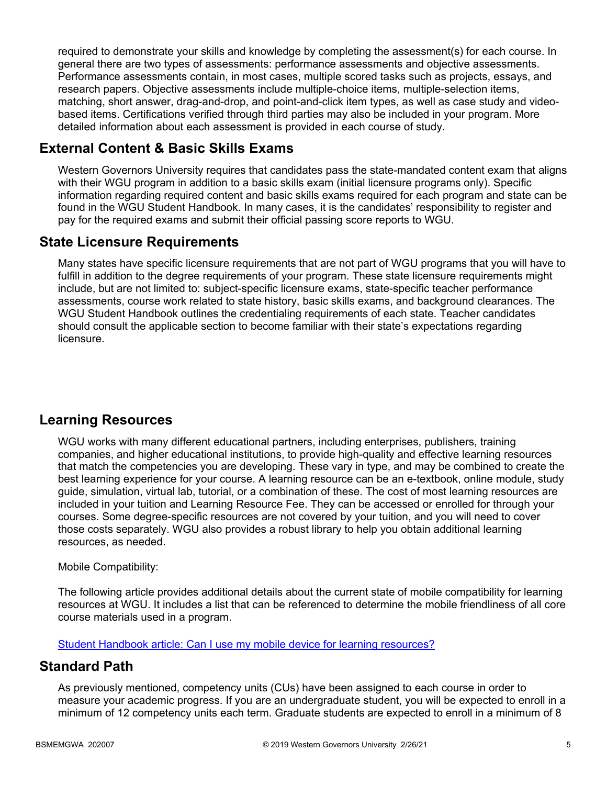required to demonstrate your skills and knowledge by completing the assessment(s) for each course. In general there are two types of assessments: performance assessments and objective assessments. Performance assessments contain, in most cases, multiple scored tasks such as projects, essays, and research papers. Objective assessments include multiple-choice items, multiple-selection items, matching, short answer, drag-and-drop, and point-and-click item types, as well as case study and videobased items. Certifications verified through third parties may also be included in your program. More detailed information about each assessment is provided in each course of study.

### **External Content & Basic Skills Exams**

Western Governors University requires that candidates pass the state-mandated content exam that aligns with their WGU program in addition to a basic skills exam (initial licensure programs only). Specific information regarding required content and basic skills exams required for each program and state can be found in the WGU Student Handbook. In many cases, it is the candidates' responsibility to register and pay for the required exams and submit their official passing score reports to WGU.

### **State Licensure Requirements**

Many states have specific licensure requirements that are not part of WGU programs that you will have to fulfill in addition to the degree requirements of your program. These state licensure requirements might include, but are not limited to: subject-specific licensure exams, state-specific teacher performance assessments, course work related to state history, basic skills exams, and background clearances. The WGU Student Handbook outlines the credentialing requirements of each state. Teacher candidates should consult the applicable section to become familiar with their state's expectations regarding licensure.

### **Learning Resources**

WGU works with many different educational partners, including enterprises, publishers, training companies, and higher educational institutions, to provide high-quality and effective learning resources that match the competencies you are developing. These vary in type, and may be combined to create the best learning experience for your course. A learning resource can be an e-textbook, online module, study guide, simulation, virtual lab, tutorial, or a combination of these. The cost of most learning resources are included in your tuition and Learning Resource Fee. They can be accessed or enrolled for through your courses. Some degree-specific resources are not covered by your tuition, and you will need to cover those costs separately. WGU also provides a robust library to help you obtain additional learning resources, as needed.

#### Mobile Compatibility:

The following article provides additional details about the current state of mobile compatibility for learning resources at WGU. It includes a list that can be referenced to determine the mobile friendliness of all core course materials used in a program.

[Student Handbook article: Can I use my mobile device for learning resources?](https://cm.wgu.edu/t5/Frequently-Asked-Questions/Can-I-use-my-mobile-device-for-learning-resources/ta-p/396)

### **Standard Path**

As previously mentioned, competency units (CUs) have been assigned to each course in order to measure your academic progress. If you are an undergraduate student, you will be expected to enroll in a minimum of 12 competency units each term. Graduate students are expected to enroll in a minimum of 8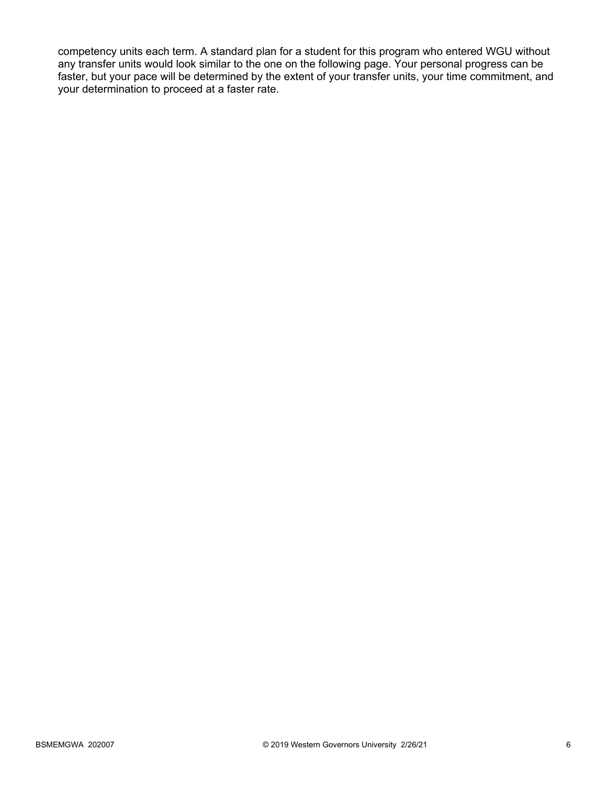competency units each term. A standard plan for a student for this program who entered WGU without any transfer units would look similar to the one on the following page. Your personal progress can be faster, but your pace will be determined by the extent of your transfer units, your time commitment, and your determination to proceed at a faster rate.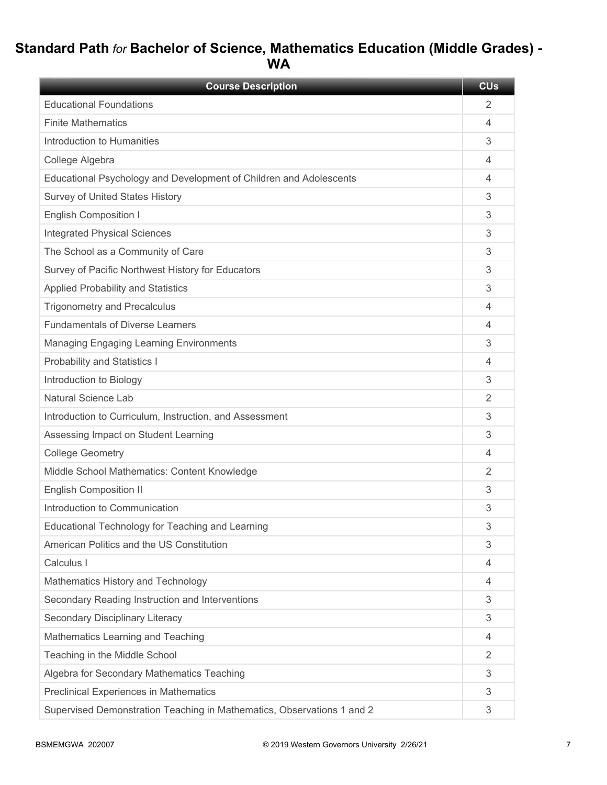# **Standard Path** *for* **Bachelor of Science, Mathematics Education (Middle Grades) - WA**

| <b>Course Description</b>                                              | <b>CU<sub>s</sub></b> |
|------------------------------------------------------------------------|-----------------------|
| <b>Educational Foundations</b>                                         | 2                     |
| <b>Finite Mathematics</b>                                              | 4                     |
| Introduction to Humanities                                             | 3                     |
| College Algebra                                                        | 4                     |
| Educational Psychology and Development of Children and Adolescents     | 4                     |
| <b>Survey of United States History</b>                                 | 3                     |
| <b>English Composition I</b>                                           | 3                     |
| <b>Integrated Physical Sciences</b>                                    | 3                     |
| The School as a Community of Care                                      | 3                     |
| Survey of Pacific Northwest History for Educators                      | 3                     |
| <b>Applied Probability and Statistics</b>                              | 3                     |
| <b>Trigonometry and Precalculus</b>                                    | 4                     |
| <b>Fundamentals of Diverse Learners</b>                                | 4                     |
| <b>Managing Engaging Learning Environments</b>                         | 3                     |
| <b>Probability and Statistics I</b>                                    | 4                     |
| Introduction to Biology                                                | 3                     |
| Natural Science Lab                                                    | 2                     |
| Introduction to Curriculum, Instruction, and Assessment                | 3                     |
| Assessing Impact on Student Learning                                   | 3                     |
| <b>College Geometry</b>                                                | 4                     |
| Middle School Mathematics: Content Knowledge                           | 2                     |
| <b>English Composition II</b>                                          | 3                     |
| Introduction to Communication                                          | 3                     |
| Educational Technology for Teaching and Learning                       | 3                     |
| American Politics and the US Constitution                              | 3                     |
| Calculus I                                                             | 4                     |
| Mathematics History and Technology                                     | 4                     |
| Secondary Reading Instruction and Interventions                        | 3                     |
| Secondary Disciplinary Literacy                                        | 3                     |
| Mathematics Learning and Teaching                                      | $\overline{4}$        |
| Teaching in the Middle School                                          | 2                     |
| Algebra for Secondary Mathematics Teaching                             | 3                     |
| <b>Preclinical Experiences in Mathematics</b>                          | 3                     |
| Supervised Demonstration Teaching in Mathematics, Observations 1 and 2 | 3                     |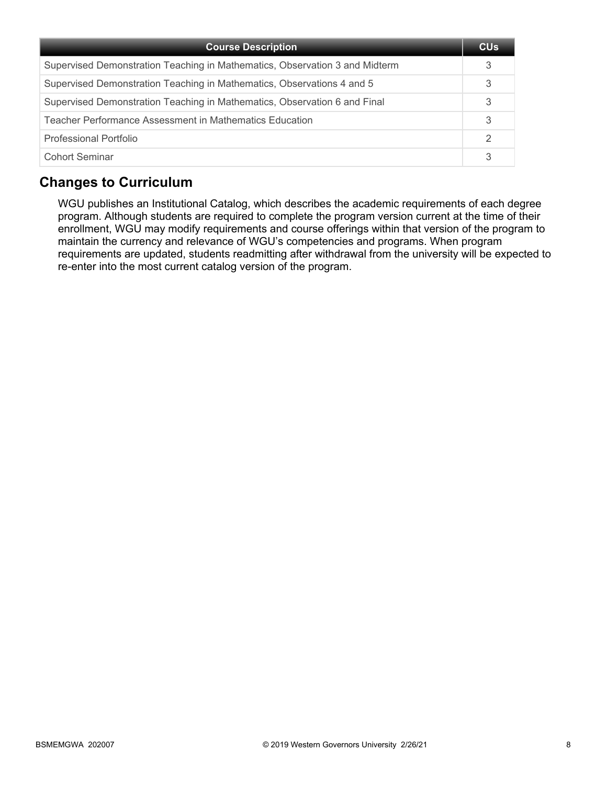| <b>Course Description</b>                                                   | <b>CU<sub>s</sub></b> |
|-----------------------------------------------------------------------------|-----------------------|
| Supervised Demonstration Teaching in Mathematics, Observation 3 and Midterm |                       |
| Supervised Demonstration Teaching in Mathematics, Observations 4 and 5      | 3                     |
| Supervised Demonstration Teaching in Mathematics, Observation 6 and Final   | 3                     |
| Teacher Performance Assessment in Mathematics Education                     | 3                     |
| Professional Portfolio                                                      | 2                     |
| <b>Cohort Seminar</b>                                                       | 3                     |

### **Changes to Curriculum**

WGU publishes an Institutional Catalog, which describes the academic requirements of each degree program. Although students are required to complete the program version current at the time of their enrollment, WGU may modify requirements and course offerings within that version of the program to maintain the currency and relevance of WGU's competencies and programs. When program requirements are updated, students readmitting after withdrawal from the university will be expected to re-enter into the most current catalog version of the program.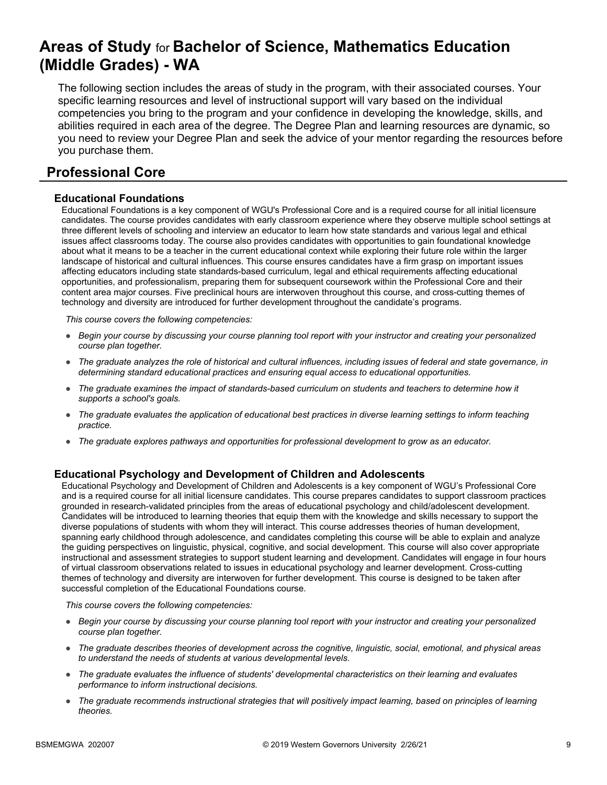# **Areas of Study** for **Bachelor of Science, Mathematics Education (Middle Grades) - WA**

The following section includes the areas of study in the program, with their associated courses. Your specific learning resources and level of instructional support will vary based on the individual competencies you bring to the program and your confidence in developing the knowledge, skills, and abilities required in each area of the degree. The Degree Plan and learning resources are dynamic, so you need to review your Degree Plan and seek the advice of your mentor regarding the resources before you purchase them.

### **Professional Core**

#### **Educational Foundations**

Educational Foundations is a key component of WGU's Professional Core and is a required course for all initial licensure candidates. The course provides candidates with early classroom experience where they observe multiple school settings at three different levels of schooling and interview an educator to learn how state standards and various legal and ethical issues affect classrooms today. The course also provides candidates with opportunities to gain foundational knowledge about what it means to be a teacher in the current educational context while exploring their future role within the larger landscape of historical and cultural influences. This course ensures candidates have a firm grasp on important issues affecting educators including state standards-based curriculum, legal and ethical requirements affecting educational opportunities, and professionalism, preparing them for subsequent coursework within the Professional Core and their content area major courses. Five preclinical hours are interwoven throughout this course, and cross-cutting themes of technology and diversity are introduced for further development throughout the candidate's programs.

*This course covers the following competencies:*

- *Begin your course by discussing your course planning tool report with your instructor and creating your personalized course plan together.*
- *The graduate analyzes the role of historical and cultural influences, including issues of federal and state governance, in determining standard educational practices and ensuring equal access to educational opportunities.*
- *The graduate examines the impact of standards-based curriculum on students and teachers to determine how it supports a school's goals.*
- *The graduate evaluates the application of educational best practices in diverse learning settings to inform teaching practice.*
- *The graduate explores pathways and opportunities for professional development to grow as an educator.*

#### **Educational Psychology and Development of Children and Adolescents**

Educational Psychology and Development of Children and Adolescents is a key component of WGU's Professional Core and is a required course for all initial licensure candidates. This course prepares candidates to support classroom practices grounded in research-validated principles from the areas of educational psychology and child/adolescent development. Candidates will be introduced to learning theories that equip them with the knowledge and skills necessary to support the diverse populations of students with whom they will interact. This course addresses theories of human development, spanning early childhood through adolescence, and candidates completing this course will be able to explain and analyze the guiding perspectives on linguistic, physical, cognitive, and social development. This course will also cover appropriate instructional and assessment strategies to support student learning and development. Candidates will engage in four hours of virtual classroom observations related to issues in educational psychology and learner development. Cross-cutting themes of technology and diversity are interwoven for further development. This course is designed to be taken after successful completion of the Educational Foundations course.

- *Begin your course by discussing your course planning tool report with your instructor and creating your personalized course plan together.*
- *The graduate describes theories of development across the cognitive, linguistic, social, emotional, and physical areas to understand the needs of students at various developmental levels.*
- *The graduate evaluates the influence of students' developmental characteristics on their learning and evaluates performance to inform instructional decisions.*
- *The graduate recommends instructional strategies that will positively impact learning, based on principles of learning theories.*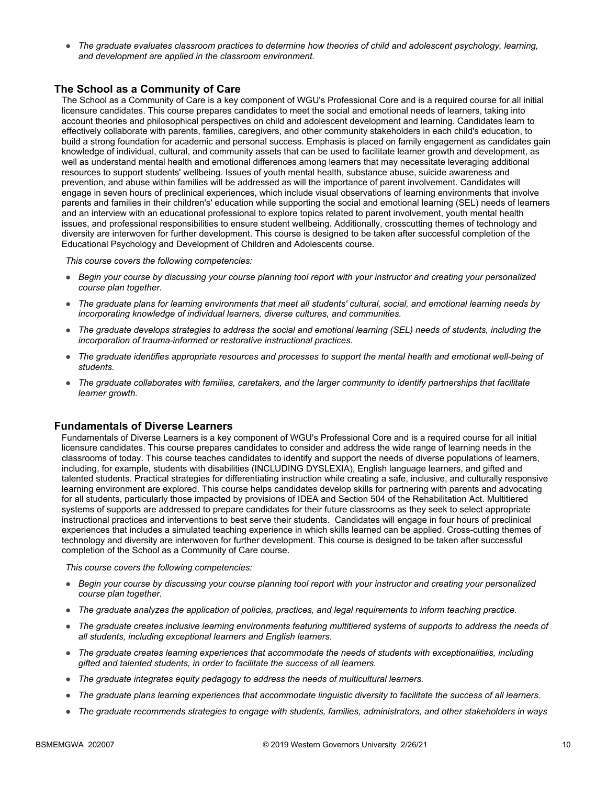● *The graduate evaluates classroom practices to determine how theories of child and adolescent psychology, learning, and development are applied in the classroom environment.*

#### **The School as a Community of Care**

The School as a Community of Care is a key component of WGU's Professional Core and is a required course for all initial licensure candidates. This course prepares candidates to meet the social and emotional needs of learners, taking into account theories and philosophical perspectives on child and adolescent development and learning. Candidates learn to effectively collaborate with parents, families, caregivers, and other community stakeholders in each child's education, to build a strong foundation for academic and personal success. Emphasis is placed on family engagement as candidates gain knowledge of individual, cultural, and community assets that can be used to facilitate learner growth and development, as well as understand mental health and emotional differences among learners that may necessitate leveraging additional resources to support students' wellbeing. Issues of youth mental health, substance abuse, suicide awareness and prevention, and abuse within families will be addressed as will the importance of parent involvement. Candidates will engage in seven hours of preclinical experiences, which include visual observations of learning environments that involve parents and families in their children's' education while supporting the social and emotional learning (SEL) needs of learners and an interview with an educational professional to explore topics related to parent involvement, youth mental health issues, and professional responsibilities to ensure student wellbeing. Additionally, crosscutting themes of technology and diversity are interwoven for further development. This course is designed to be taken after successful completion of the Educational Psychology and Development of Children and Adolescents course.

*This course covers the following competencies:*

- *Begin your course by discussing your course planning tool report with your instructor and creating your personalized course plan together.*
- *The graduate plans for learning environments that meet all students' cultural, social, and emotional learning needs by incorporating knowledge of individual learners, diverse cultures, and communities.*
- *The graduate develops strategies to address the social and emotional learning (SEL) needs of students, including the incorporation of trauma-informed or restorative instructional practices.*
- *The graduate identifies appropriate resources and processes to support the mental health and emotional well-being of students.*
- *The graduate collaborates with families, caretakers, and the larger community to identify partnerships that facilitate learner growth.*

#### **Fundamentals of Diverse Learners**

Fundamentals of Diverse Learners is a key component of WGU's Professional Core and is a required course for all initial licensure candidates. This course prepares candidates to consider and address the wide range of learning needs in the classrooms of today. This course teaches candidates to identify and support the needs of diverse populations of learners, including, for example, students with disabilities (INCLUDING DYSLEXIA), English language learners, and gifted and talented students. Practical strategies for differentiating instruction while creating a safe, inclusive, and culturally responsive learning environment are explored. This course helps candidates develop skills for partnering with parents and advocating for all students, particularly those impacted by provisions of IDEA and Section 504 of the Rehabilitation Act. Multitiered systems of supports are addressed to prepare candidates for their future classrooms as they seek to select appropriate instructional practices and interventions to best serve their students. Candidates will engage in four hours of preclinical experiences that includes a simulated teaching experience in which skills learned can be applied. Cross-cutting themes of technology and diversity are interwoven for further development. This course is designed to be taken after successful completion of the School as a Community of Care course.

- *Begin your course by discussing your course planning tool report with your instructor and creating your personalized course plan together.*
- *The graduate analyzes the application of policies, practices, and legal requirements to inform teaching practice.*
- *The graduate creates inclusive learning environments featuring multitiered systems of supports to address the needs of all students, including exceptional learners and English learners.*
- *The graduate creates learning experiences that accommodate the needs of students with exceptionalities, including gifted and talented students, in order to facilitate the success of all learners.*
- *The graduate integrates equity pedagogy to address the needs of multicultural learners.*
- *The graduate plans learning experiences that accommodate linguistic diversity to facilitate the success of all learners.*
- *The graduate recommends strategies to engage with students, families, administrators, and other stakeholders in ways*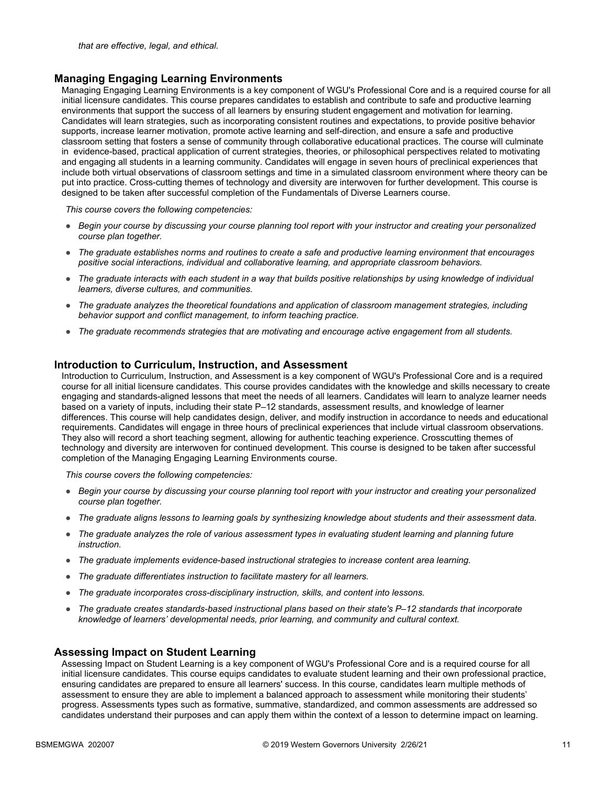#### **Managing Engaging Learning Environments**

Managing Engaging Learning Environments is a key component of WGU's Professional Core and is a required course for all initial licensure candidates. This course prepares candidates to establish and contribute to safe and productive learning environments that support the success of all learners by ensuring student engagement and motivation for learning. Candidates will learn strategies, such as incorporating consistent routines and expectations, to provide positive behavior supports, increase learner motivation, promote active learning and self-direction, and ensure a safe and productive classroom setting that fosters a sense of community through collaborative educational practices. The course will culminate in evidence-based, practical application of current strategies, theories, or philosophical perspectives related to motivating and engaging all students in a learning community. Candidates will engage in seven hours of preclinical experiences that include both virtual observations of classroom settings and time in a simulated classroom environment where theory can be put into practice. Cross-cutting themes of technology and diversity are interwoven for further development. This course is designed to be taken after successful completion of the Fundamentals of Diverse Learners course.

*This course covers the following competencies:*

- *Begin your course by discussing your course planning tool report with your instructor and creating your personalized course plan together.*
- *The graduate establishes norms and routines to create a safe and productive learning environment that encourages positive social interactions, individual and collaborative learning, and appropriate classroom behaviors.*
- *The graduate interacts with each student in a way that builds positive relationships by using knowledge of individual learners, diverse cultures, and communities.*
- *The graduate analyzes the theoretical foundations and application of classroom management strategies, including behavior support and conflict management, to inform teaching practice.*
- *The graduate recommends strategies that are motivating and encourage active engagement from all students.*

#### **Introduction to Curriculum, Instruction, and Assessment**

Introduction to Curriculum, Instruction, and Assessment is a key component of WGU's Professional Core and is a required course for all initial licensure candidates. This course provides candidates with the knowledge and skills necessary to create engaging and standards-aligned lessons that meet the needs of all learners. Candidates will learn to analyze learner needs based on a variety of inputs, including their state P–12 standards, assessment results, and knowledge of learner differences. This course will help candidates design, deliver, and modify instruction in accordance to needs and educational requirements. Candidates will engage in three hours of preclinical experiences that include virtual classroom observations. They also will record a short teaching segment, allowing for authentic teaching experience. Crosscutting themes of technology and diversity are interwoven for continued development. This course is designed to be taken after successful completion of the Managing Engaging Learning Environments course.

*This course covers the following competencies:*

- *Begin your course by discussing your course planning tool report with your instructor and creating your personalized course plan together.*
- *The graduate aligns lessons to learning goals by synthesizing knowledge about students and their assessment data.*
- *The graduate analyzes the role of various assessment types in evaluating student learning and planning future instruction.*
- *The graduate implements evidence-based instructional strategies to increase content area learning.*
- *The graduate differentiates instruction to facilitate mastery for all learners.*
- *The graduate incorporates cross-disciplinary instruction, skills, and content into lessons.*
- *The graduate creates standards-based instructional plans based on their state's P–12 standards that incorporate knowledge of learners' developmental needs, prior learning, and community and cultural context.*

#### **Assessing Impact on Student Learning**

Assessing Impact on Student Learning is a key component of WGU's Professional Core and is a required course for all initial licensure candidates. This course equips candidates to evaluate student learning and their own professional practice, ensuring candidates are prepared to ensure all learners' success. In this course, candidates learn multiple methods of assessment to ensure they are able to implement a balanced approach to assessment while monitoring their students' progress. Assessments types such as formative, summative, standardized, and common assessments are addressed so candidates understand their purposes and can apply them within the context of a lesson to determine impact on learning.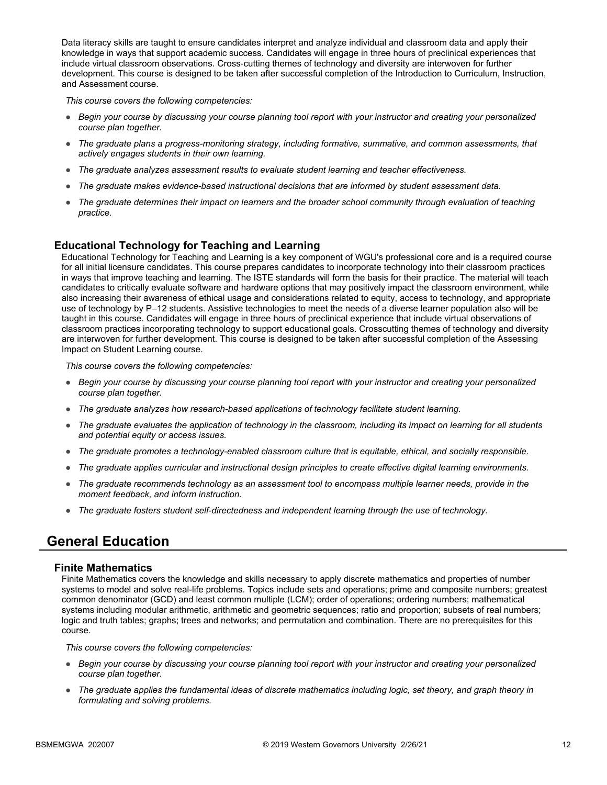Data literacy skills are taught to ensure candidates interpret and analyze individual and classroom data and apply their knowledge in ways that support academic success. Candidates will engage in three hours of preclinical experiences that include virtual classroom observations. Cross-cutting themes of technology and diversity are interwoven for further development. This course is designed to be taken after successful completion of the Introduction to Curriculum, Instruction, and Assessment course.

*This course covers the following competencies:*

- *Begin your course by discussing your course planning tool report with your instructor and creating your personalized course plan together.*
- *The graduate plans a progress-monitoring strategy, including formative, summative, and common assessments, that actively engages students in their own learning.*
- *The graduate analyzes assessment results to evaluate student learning and teacher effectiveness.*
- *The graduate makes evidence-based instructional decisions that are informed by student assessment data.*
- *The graduate determines their impact on learners and the broader school community through evaluation of teaching practice.*

#### **Educational Technology for Teaching and Learning**

Educational Technology for Teaching and Learning is a key component of WGU's professional core and is a required course for all initial licensure candidates. This course prepares candidates to incorporate technology into their classroom practices in ways that improve teaching and learning. The ISTE standards will form the basis for their practice. The material will teach candidates to critically evaluate software and hardware options that may positively impact the classroom environment, while also increasing their awareness of ethical usage and considerations related to equity, access to technology, and appropriate use of technology by P–12 students. Assistive technologies to meet the needs of a diverse learner population also will be taught in this course. Candidates will engage in three hours of preclinical experience that include virtual observations of classroom practices incorporating technology to support educational goals. Crosscutting themes of technology and diversity are interwoven for further development. This course is designed to be taken after successful completion of the Assessing Impact on Student Learning course.

*This course covers the following competencies:*

- *Begin your course by discussing your course planning tool report with your instructor and creating your personalized course plan together.*
- *The graduate analyzes how research-based applications of technology facilitate student learning.*
- *The graduate evaluates the application of technology in the classroom, including its impact on learning for all students and potential equity or access issues.*
- *The graduate promotes a technology-enabled classroom culture that is equitable, ethical, and socially responsible.*
- *The graduate applies curricular and instructional design principles to create effective digital learning environments.*
- *The graduate recommends technology as an assessment tool to encompass multiple learner needs, provide in the moment feedback, and inform instruction.*
- *The graduate fosters student self-directedness and independent learning through the use of technology.*

### **General Education**

#### **Finite Mathematics**

Finite Mathematics covers the knowledge and skills necessary to apply discrete mathematics and properties of number systems to model and solve real-life problems. Topics include sets and operations; prime and composite numbers; greatest common denominator (GCD) and least common multiple (LCM); order of operations; ordering numbers; mathematical systems including modular arithmetic, arithmetic and geometric sequences; ratio and proportion; subsets of real numbers; logic and truth tables; graphs; trees and networks; and permutation and combination. There are no prerequisites for this course.

- *Begin your course by discussing your course planning tool report with your instructor and creating your personalized course plan together.*
- *The graduate applies the fundamental ideas of discrete mathematics including logic, set theory, and graph theory in formulating and solving problems.*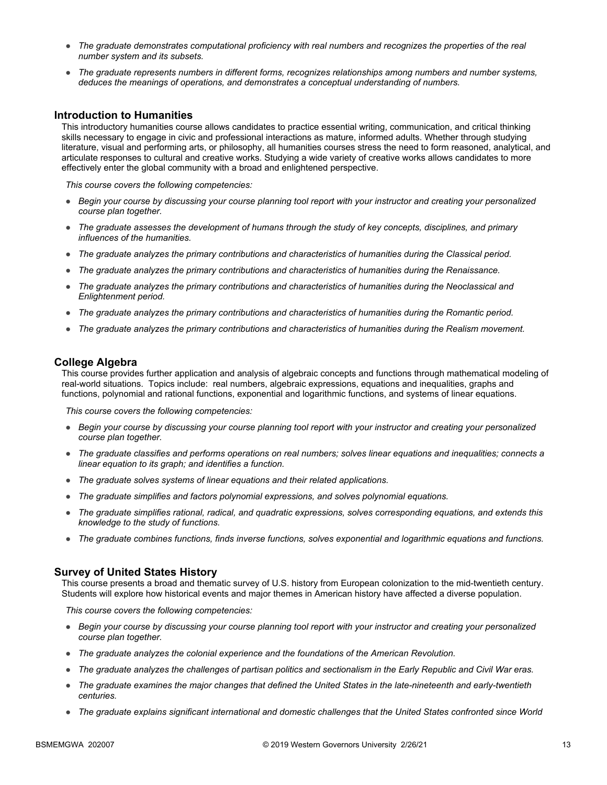- *The graduate demonstrates computational proficiency with real numbers and recognizes the properties of the real number system and its subsets.*
- *The graduate represents numbers in different forms, recognizes relationships among numbers and number systems, deduces the meanings of operations, and demonstrates a conceptual understanding of numbers.*

#### **Introduction to Humanities**

This introductory humanities course allows candidates to practice essential writing, communication, and critical thinking skills necessary to engage in civic and professional interactions as mature, informed adults. Whether through studying literature, visual and performing arts, or philosophy, all humanities courses stress the need to form reasoned, analytical, and articulate responses to cultural and creative works. Studying a wide variety of creative works allows candidates to more effectively enter the global community with a broad and enlightened perspective.

*This course covers the following competencies:*

- *Begin your course by discussing your course planning tool report with your instructor and creating your personalized course plan together.*
- *The graduate assesses the development of humans through the study of key concepts, disciplines, and primary influences of the humanities.*
- *The graduate analyzes the primary contributions and characteristics of humanities during the Classical period.*
- *The graduate analyzes the primary contributions and characteristics of humanities during the Renaissance.*
- *The graduate analyzes the primary contributions and characteristics of humanities during the Neoclassical and Enlightenment period.*
- *The graduate analyzes the primary contributions and characteristics of humanities during the Romantic period.*
- *The graduate analyzes the primary contributions and characteristics of humanities during the Realism movement.*

#### **College Algebra**

This course provides further application and analysis of algebraic concepts and functions through mathematical modeling of real-world situations. Topics include: real numbers, algebraic expressions, equations and inequalities, graphs and functions, polynomial and rational functions, exponential and logarithmic functions, and systems of linear equations.

*This course covers the following competencies:*

- *Begin your course by discussing your course planning tool report with your instructor and creating your personalized course plan together.*
- *The graduate classifies and performs operations on real numbers; solves linear equations and inequalities; connects a linear equation to its graph; and identifies a function.*
- *The graduate solves systems of linear equations and their related applications.*
- *The graduate simplifies and factors polynomial expressions, and solves polynomial equations.*
- *The graduate simplifies rational, radical, and quadratic expressions, solves corresponding equations, and extends this knowledge to the study of functions.*
- *The graduate combines functions, finds inverse functions, solves exponential and logarithmic equations and functions.*

#### **Survey of United States History**

This course presents a broad and thematic survey of U.S. history from European colonization to the mid-twentieth century. Students will explore how historical events and major themes in American history have affected a diverse population.

- *Begin your course by discussing your course planning tool report with your instructor and creating your personalized course plan together.*
- *The graduate analyzes the colonial experience and the foundations of the American Revolution.*
- *The graduate analyzes the challenges of partisan politics and sectionalism in the Early Republic and Civil War eras.*
- *The graduate examines the major changes that defined the United States in the late-nineteenth and early-twentieth centuries.*
- *The graduate explains significant international and domestic challenges that the United States confronted since World*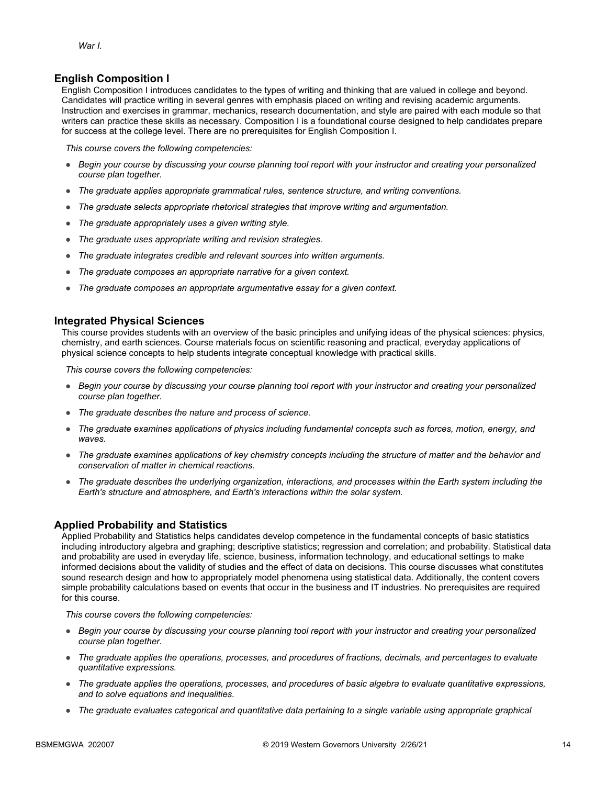#### **English Composition I**

English Composition I introduces candidates to the types of writing and thinking that are valued in college and beyond. Candidates will practice writing in several genres with emphasis placed on writing and revising academic arguments. Instruction and exercises in grammar, mechanics, research documentation, and style are paired with each module so that writers can practice these skills as necessary. Composition I is a foundational course designed to help candidates prepare for success at the college level. There are no prerequisites for English Composition I.

*This course covers the following competencies:*

- *Begin your course by discussing your course planning tool report with your instructor and creating your personalized course plan together.*
- *The graduate applies appropriate grammatical rules, sentence structure, and writing conventions.*
- *The graduate selects appropriate rhetorical strategies that improve writing and argumentation.*
- *The graduate appropriately uses a given writing style.*
- *The graduate uses appropriate writing and revision strategies.*
- *The graduate integrates credible and relevant sources into written arguments.*
- *The graduate composes an appropriate narrative for a given context.*
- *The graduate composes an appropriate argumentative essay for a given context.*

#### **Integrated Physical Sciences**

This course provides students with an overview of the basic principles and unifying ideas of the physical sciences: physics, chemistry, and earth sciences. Course materials focus on scientific reasoning and practical, everyday applications of physical science concepts to help students integrate conceptual knowledge with practical skills.

*This course covers the following competencies:*

- *Begin your course by discussing your course planning tool report with your instructor and creating your personalized course plan together.*
- *The graduate describes the nature and process of science.*
- *The graduate examines applications of physics including fundamental concepts such as forces, motion, energy, and waves.*
- *The graduate examines applications of key chemistry concepts including the structure of matter and the behavior and conservation of matter in chemical reactions.*
- *The graduate describes the underlying organization, interactions, and processes within the Earth system including the Earth's structure and atmosphere, and Earth's interactions within the solar system.*

#### **Applied Probability and Statistics**

Applied Probability and Statistics helps candidates develop competence in the fundamental concepts of basic statistics including introductory algebra and graphing; descriptive statistics; regression and correlation; and probability. Statistical data and probability are used in everyday life, science, business, information technology, and educational settings to make informed decisions about the validity of studies and the effect of data on decisions. This course discusses what constitutes sound research design and how to appropriately model phenomena using statistical data. Additionally, the content covers simple probability calculations based on events that occur in the business and IT industries. No prerequisites are required for this course.

- *Begin your course by discussing your course planning tool report with your instructor and creating your personalized course plan together.*
- *The graduate applies the operations, processes, and procedures of fractions, decimals, and percentages to evaluate quantitative expressions.*
- *The graduate applies the operations, processes, and procedures of basic algebra to evaluate quantitative expressions, and to solve equations and inequalities.*
- *The graduate evaluates categorical and quantitative data pertaining to a single variable using appropriate graphical*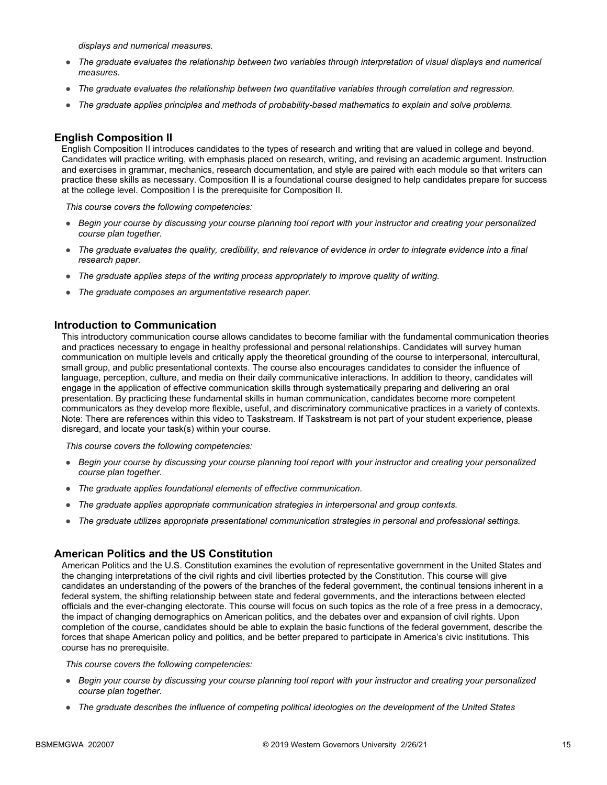*displays and numerical measures.*

- *The graduate evaluates the relationship between two variables through interpretation of visual displays and numerical measures.*
- *The graduate evaluates the relationship between two quantitative variables through correlation and regression.*
- *The graduate applies principles and methods of probability-based mathematics to explain and solve problems.*

#### **English Composition II**

English Composition II introduces candidates to the types of research and writing that are valued in college and beyond. Candidates will practice writing, with emphasis placed on research, writing, and revising an academic argument. Instruction and exercises in grammar, mechanics, research documentation, and style are paired with each module so that writers can practice these skills as necessary. Composition II is a foundational course designed to help candidates prepare for success at the college level. Composition I is the prerequisite for Composition II.

*This course covers the following competencies:*

- *Begin your course by discussing your course planning tool report with your instructor and creating your personalized course plan together.*
- *The graduate evaluates the quality, credibility, and relevance of evidence in order to integrate evidence into a final research paper.*
- *The graduate applies steps of the writing process appropriately to improve quality of writing.*
- *The graduate composes an argumentative research paper.*

#### **Introduction to Communication**

This introductory communication course allows candidates to become familiar with the fundamental communication theories and practices necessary to engage in healthy professional and personal relationships. Candidates will survey human communication on multiple levels and critically apply the theoretical grounding of the course to interpersonal, intercultural, small group, and public presentational contexts. The course also encourages candidates to consider the influence of language, perception, culture, and media on their daily communicative interactions. In addition to theory, candidates will engage in the application of effective communication skills through systematically preparing and delivering an oral presentation. By practicing these fundamental skills in human communication, candidates become more competent communicators as they develop more flexible, useful, and discriminatory communicative practices in a variety of contexts. Note: There are references within this video to Taskstream. If Taskstream is not part of your student experience, please disregard, and locate your task(s) within your course.

*This course covers the following competencies:*

- *Begin your course by discussing your course planning tool report with your instructor and creating your personalized course plan together.*
- *The graduate applies foundational elements of effective communication.*
- *The graduate applies appropriate communication strategies in interpersonal and group contexts.*
- *The graduate utilizes appropriate presentational communication strategies in personal and professional settings.*

#### **American Politics and the US Constitution**

American Politics and the U.S. Constitution examines the evolution of representative government in the United States and the changing interpretations of the civil rights and civil liberties protected by the Constitution. This course will give candidates an understanding of the powers of the branches of the federal government, the continual tensions inherent in a federal system, the shifting relationship between state and federal governments, and the interactions between elected officials and the ever-changing electorate. This course will focus on such topics as the role of a free press in a democracy, the impact of changing demographics on American politics, and the debates over and expansion of civil rights. Upon completion of the course, candidates should be able to explain the basic functions of the federal government, describe the forces that shape American policy and politics, and be better prepared to participate in America's civic institutions. This course has no prerequisite.

- *Begin your course by discussing your course planning tool report with your instructor and creating your personalized course plan together.*
- *The graduate describes the influence of competing political ideologies on the development of the United States*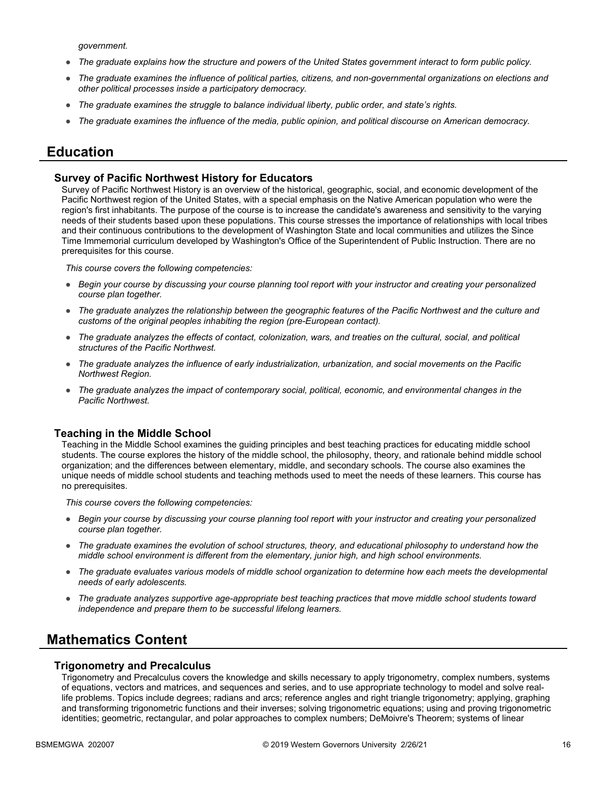*government.*

- *The graduate explains how the structure and powers of the United States government interact to form public policy.*
- *The graduate examines the influence of political parties, citizens, and non-governmental organizations on elections and other political processes inside a participatory democracy.*
- *The graduate examines the struggle to balance individual liberty, public order, and state's rights.*
- *The graduate examines the influence of the media, public opinion, and political discourse on American democracy.*

### **Education**

#### **Survey of Pacific Northwest History for Educators**

Survey of Pacific Northwest History is an overview of the historical, geographic, social, and economic development of the Pacific Northwest region of the United States, with a special emphasis on the Native American population who were the region's first inhabitants. The purpose of the course is to increase the candidate's awareness and sensitivity to the varying needs of their students based upon these populations. This course stresses the importance of relationships with local tribes and their continuous contributions to the development of Washington State and local communities and utilizes the Since Time Immemorial curriculum developed by Washington's Office of the Superintendent of Public Instruction. There are no prerequisites for this course.

*This course covers the following competencies:*

- *Begin your course by discussing your course planning tool report with your instructor and creating your personalized course plan together.*
- *The graduate analyzes the relationship between the geographic features of the Pacific Northwest and the culture and customs of the original peoples inhabiting the region (pre-European contact).*
- *The graduate analyzes the effects of contact, colonization, wars, and treaties on the cultural, social, and political structures of the Pacific Northwest.*
- *The graduate analyzes the influence of early industrialization, urbanization, and social movements on the Pacific Northwest Region.*
- *The graduate analyzes the impact of contemporary social, political, economic, and environmental changes in the Pacific Northwest.*

#### **Teaching in the Middle School**

Teaching in the Middle School examines the guiding principles and best teaching practices for educating middle school students. The course explores the history of the middle school, the philosophy, theory, and rationale behind middle school organization; and the differences between elementary, middle, and secondary schools. The course also examines the unique needs of middle school students and teaching methods used to meet the needs of these learners. This course has no prerequisites.

*This course covers the following competencies:*

- *Begin your course by discussing your course planning tool report with your instructor and creating your personalized course plan together.*
- *The graduate examines the evolution of school structures, theory, and educational philosophy to understand how the middle school environment is different from the elementary, junior high, and high school environments.*
- *The graduate evaluates various models of middle school organization to determine how each meets the developmental needs of early adolescents.*
- *The graduate analyzes supportive age-appropriate best teaching practices that move middle school students toward independence and prepare them to be successful lifelong learners.*

### **Mathematics Content**

#### **Trigonometry and Precalculus**

Trigonometry and Precalculus covers the knowledge and skills necessary to apply trigonometry, complex numbers, systems of equations, vectors and matrices, and sequences and series, and to use appropriate technology to model and solve reallife problems. Topics include degrees; radians and arcs; reference angles and right triangle trigonometry; applying, graphing and transforming trigonometric functions and their inverses; solving trigonometric equations; using and proving trigonometric identities; geometric, rectangular, and polar approaches to complex numbers; DeMoivre's Theorem; systems of linear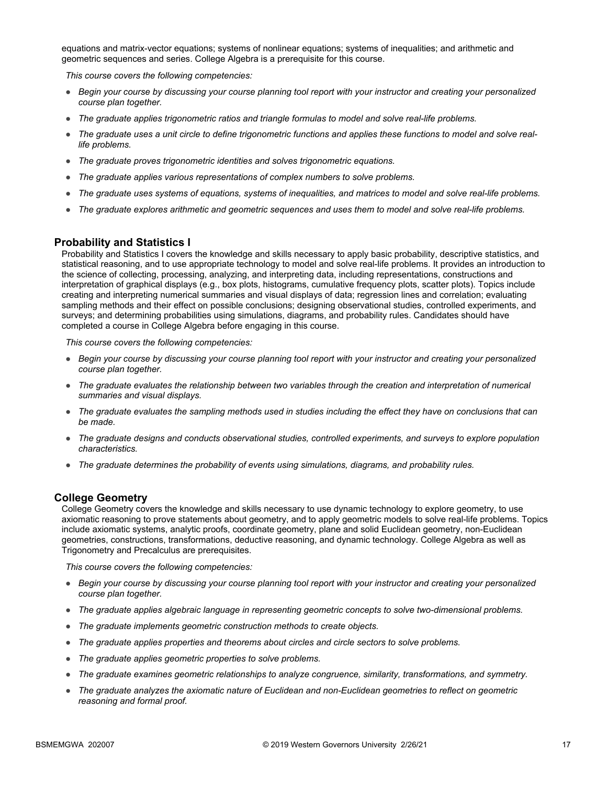equations and matrix-vector equations; systems of nonlinear equations; systems of inequalities; and arithmetic and geometric sequences and series. College Algebra is a prerequisite for this course.

*This course covers the following competencies:*

- *Begin your course by discussing your course planning tool report with your instructor and creating your personalized course plan together.*
- *The graduate applies trigonometric ratios and triangle formulas to model and solve real-life problems.*
- *The graduate uses a unit circle to define trigonometric functions and applies these functions to model and solve reallife problems.*
- *The graduate proves trigonometric identities and solves trigonometric equations.*
- *The graduate applies various representations of complex numbers to solve problems.*
- *The graduate uses systems of equations, systems of inequalities, and matrices to model and solve real-life problems.*
- *The graduate explores arithmetic and geometric sequences and uses them to model and solve real-life problems.*

#### **Probability and Statistics I**

Probability and Statistics I covers the knowledge and skills necessary to apply basic probability, descriptive statistics, and statistical reasoning, and to use appropriate technology to model and solve real-life problems. It provides an introduction to the science of collecting, processing, analyzing, and interpreting data, including representations, constructions and interpretation of graphical displays (e.g., box plots, histograms, cumulative frequency plots, scatter plots). Topics include creating and interpreting numerical summaries and visual displays of data; regression lines and correlation; evaluating sampling methods and their effect on possible conclusions; designing observational studies, controlled experiments, and surveys; and determining probabilities using simulations, diagrams, and probability rules. Candidates should have completed a course in College Algebra before engaging in this course.

*This course covers the following competencies:*

- *Begin your course by discussing your course planning tool report with your instructor and creating your personalized course plan together.*
- *The graduate evaluates the relationship between two variables through the creation and interpretation of numerical summaries and visual displays.*
- *The graduate evaluates the sampling methods used in studies including the effect they have on conclusions that can be made.*
- *The graduate designs and conducts observational studies, controlled experiments, and surveys to explore population characteristics.*
- *The graduate determines the probability of events using simulations, diagrams, and probability rules.*

#### **College Geometry**

College Geometry covers the knowledge and skills necessary to use dynamic technology to explore geometry, to use axiomatic reasoning to prove statements about geometry, and to apply geometric models to solve real-life problems. Topics include axiomatic systems, analytic proofs, coordinate geometry, plane and solid Euclidean geometry, non-Euclidean geometries, constructions, transformations, deductive reasoning, and dynamic technology. College Algebra as well as Trigonometry and Precalculus are prerequisites.

- *Begin your course by discussing your course planning tool report with your instructor and creating your personalized course plan together.*
- *The graduate applies algebraic language in representing geometric concepts to solve two-dimensional problems.*
- *The graduate implements geometric construction methods to create objects.*
- *The graduate applies properties and theorems about circles and circle sectors to solve problems.*
- *The graduate applies geometric properties to solve problems.*
- *The graduate examines geometric relationships to analyze congruence, similarity, transformations, and symmetry.*
- *The graduate analyzes the axiomatic nature of Euclidean and non-Euclidean geometries to reflect on geometric reasoning and formal proof.*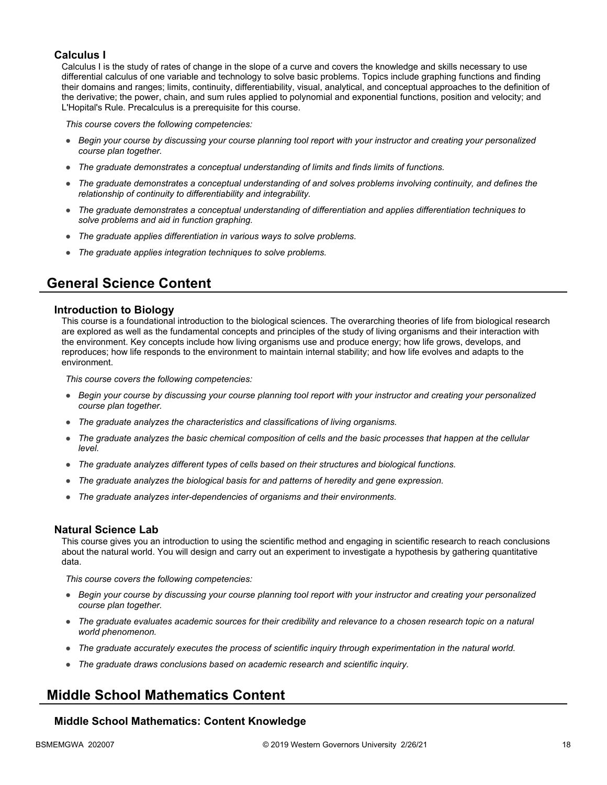#### **Calculus I**

Calculus I is the study of rates of change in the slope of a curve and covers the knowledge and skills necessary to use differential calculus of one variable and technology to solve basic problems. Topics include graphing functions and finding their domains and ranges; limits, continuity, differentiability, visual, analytical, and conceptual approaches to the definition of the derivative; the power, chain, and sum rules applied to polynomial and exponential functions, position and velocity; and L'Hopital's Rule. Precalculus is a prerequisite for this course.

*This course covers the following competencies:*

- *Begin your course by discussing your course planning tool report with your instructor and creating your personalized course plan together.*
- *The graduate demonstrates a conceptual understanding of limits and finds limits of functions.*
- *The graduate demonstrates a conceptual understanding of and solves problems involving continuity, and defines the relationship of continuity to differentiability and integrability.*
- *The graduate demonstrates a conceptual understanding of differentiation and applies differentiation techniques to solve problems and aid in function graphing.*
- *The graduate applies differentiation in various ways to solve problems.*
- *The graduate applies integration techniques to solve problems.*

### **General Science Content**

#### **Introduction to Biology**

This course is a foundational introduction to the biological sciences. The overarching theories of life from biological research are explored as well as the fundamental concepts and principles of the study of living organisms and their interaction with the environment. Key concepts include how living organisms use and produce energy; how life grows, develops, and reproduces; how life responds to the environment to maintain internal stability; and how life evolves and adapts to the environment.

*This course covers the following competencies:*

- *Begin your course by discussing your course planning tool report with your instructor and creating your personalized course plan together.*
- *The graduate analyzes the characteristics and classifications of living organisms.*
- *The graduate analyzes the basic chemical composition of cells and the basic processes that happen at the cellular level.*
- *The graduate analyzes different types of cells based on their structures and biological functions.*
- *The graduate analyzes the biological basis for and patterns of heredity and gene expression.*
- *The graduate analyzes inter-dependencies of organisms and their environments.*

#### **Natural Science Lab**

This course gives you an introduction to using the scientific method and engaging in scientific research to reach conclusions about the natural world. You will design and carry out an experiment to investigate a hypothesis by gathering quantitative data.

*This course covers the following competencies:*

- *Begin your course by discussing your course planning tool report with your instructor and creating your personalized course plan together.*
- *The graduate evaluates academic sources for their credibility and relevance to a chosen research topic on a natural world phenomenon.*
- *The graduate accurately executes the process of scientific inquiry through experimentation in the natural world.*
- *The graduate draws conclusions based on academic research and scientific inquiry.*

### **Middle School Mathematics Content**

#### **Middle School Mathematics: Content Knowledge**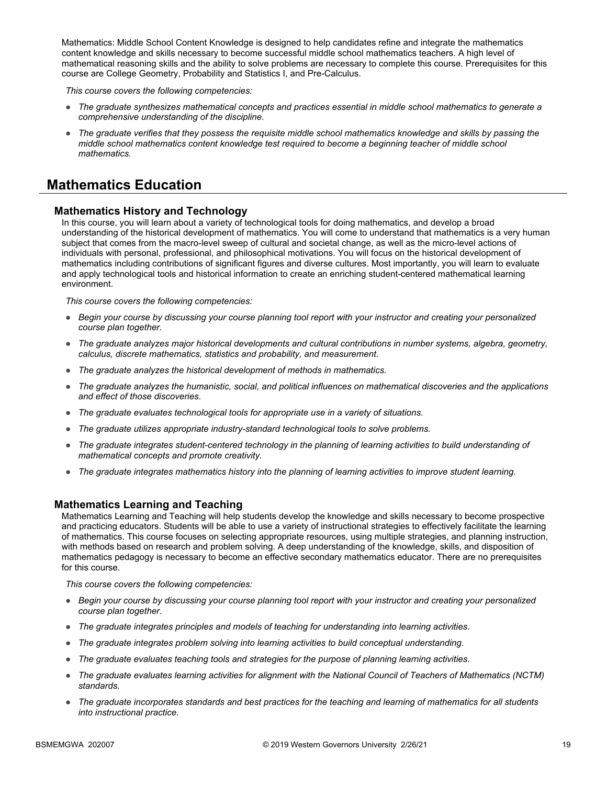Mathematics: Middle School Content Knowledge is designed to help candidates refine and integrate the mathematics content knowledge and skills necessary to become successful middle school mathematics teachers. A high level of mathematical reasoning skills and the ability to solve problems are necessary to complete this course. Prerequisites for this course are College Geometry, Probability and Statistics I, and Pre-Calculus.

*This course covers the following competencies:*

- *The graduate synthesizes mathematical concepts and practices essential in middle school mathematics to generate a comprehensive understanding of the discipline.*
- *The graduate verifies that they possess the requisite middle school mathematics knowledge and skills by passing the middle school mathematics content knowledge test required to become a beginning teacher of middle school mathematics.*

### **Mathematics Education**

#### **Mathematics History and Technology**

In this course, you will learn about a variety of technological tools for doing mathematics, and develop a broad understanding of the historical development of mathematics. You will come to understand that mathematics is a very human subject that comes from the macro-level sweep of cultural and societal change, as well as the micro-level actions of individuals with personal, professional, and philosophical motivations. You will focus on the historical development of mathematics including contributions of significant figures and diverse cultures. Most importantly, you will learn to evaluate and apply technological tools and historical information to create an enriching student-centered mathematical learning environment.

*This course covers the following competencies:*

- *Begin your course by discussing your course planning tool report with your instructor and creating your personalized course plan together.*
- *The graduate analyzes major historical developments and cultural contributions in number systems, algebra, geometry, calculus, discrete mathematics, statistics and probability, and measurement.*
- *The graduate analyzes the historical development of methods in mathematics.*
- *The graduate analyzes the humanistic, social, and political influences on mathematical discoveries and the applications and effect of those discoveries.*
- *The graduate evaluates technological tools for appropriate use in a variety of situations.*
- *The graduate utilizes appropriate industry-standard technological tools to solve problems.*
- *The graduate integrates student-centered technology in the planning of learning activities to build understanding of mathematical concepts and promote creativity.*
- *The graduate integrates mathematics history into the planning of learning activities to improve student learning.*

#### **Mathematics Learning and Teaching**

Mathematics Learning and Teaching will help students develop the knowledge and skills necessary to become prospective and practicing educators. Students will be able to use a variety of instructional strategies to effectively facilitate the learning of mathematics. This course focuses on selecting appropriate resources, using multiple strategies, and planning instruction, with methods based on research and problem solving. A deep understanding of the knowledge, skills, and disposition of mathematics pedagogy is necessary to become an effective secondary mathematics educator. There are no prerequisites for this course.

- *Begin your course by discussing your course planning tool report with your instructor and creating your personalized course plan together.*
- *The graduate integrates principles and models of teaching for understanding into learning activities.*
- *The graduate integrates problem solving into learning activities to build conceptual understanding.*
- *The graduate evaluates teaching tools and strategies for the purpose of planning learning activities.*
- *The graduate evaluates learning activities for alignment with the National Council of Teachers of Mathematics (NCTM) standards.*
- *The graduate incorporates standards and best practices for the teaching and learning of mathematics for all students into instructional practice.*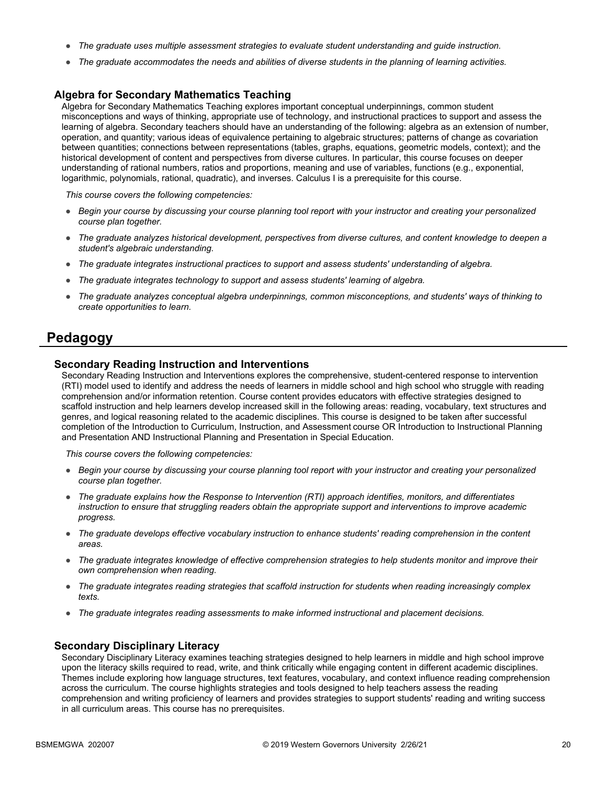- *The graduate uses multiple assessment strategies to evaluate student understanding and guide instruction.*
- *The graduate accommodates the needs and abilities of diverse students in the planning of learning activities.*

#### **Algebra for Secondary Mathematics Teaching**

Algebra for Secondary Mathematics Teaching explores important conceptual underpinnings, common student misconceptions and ways of thinking, appropriate use of technology, and instructional practices to support and assess the learning of algebra. Secondary teachers should have an understanding of the following: algebra as an extension of number, operation, and quantity; various ideas of equivalence pertaining to algebraic structures; patterns of change as covariation between quantities; connections between representations (tables, graphs, equations, geometric models, context); and the historical development of content and perspectives from diverse cultures. In particular, this course focuses on deeper understanding of rational numbers, ratios and proportions, meaning and use of variables, functions (e.g., exponential, logarithmic, polynomials, rational, quadratic), and inverses. Calculus I is a prerequisite for this course.

*This course covers the following competencies:*

- *Begin your course by discussing your course planning tool report with your instructor and creating your personalized course plan together.*
- *The graduate analyzes historical development, perspectives from diverse cultures, and content knowledge to deepen a student's algebraic understanding.*
- *The graduate integrates instructional practices to support and assess students' understanding of algebra.*
- *The graduate integrates technology to support and assess students' learning of algebra.*
- *The graduate analyzes conceptual algebra underpinnings, common misconceptions, and students' ways of thinking to create opportunities to learn.*

### **Pedagogy**

#### **Secondary Reading Instruction and Interventions**

Secondary Reading Instruction and Interventions explores the comprehensive, student-centered response to intervention (RTI) model used to identify and address the needs of learners in middle school and high school who struggle with reading comprehension and/or information retention. Course content provides educators with effective strategies designed to scaffold instruction and help learners develop increased skill in the following areas: reading, vocabulary, text structures and genres, and logical reasoning related to the academic disciplines. This course is designed to be taken after successful completion of the Introduction to Curriculum, Instruction, and Assessment course OR Introduction to Instructional Planning and Presentation AND Instructional Planning and Presentation in Special Education.

*This course covers the following competencies:*

- *Begin your course by discussing your course planning tool report with your instructor and creating your personalized course plan together.*
- *The graduate explains how the Response to Intervention (RTI) approach identifies, monitors, and differentiates instruction to ensure that struggling readers obtain the appropriate support and interventions to improve academic progress.*
- *The graduate develops effective vocabulary instruction to enhance students' reading comprehension in the content areas.*
- *The graduate integrates knowledge of effective comprehension strategies to help students monitor and improve their own comprehension when reading.*
- *The graduate integrates reading strategies that scaffold instruction for students when reading increasingly complex texts.*
- *The graduate integrates reading assessments to make informed instructional and placement decisions.*

#### **Secondary Disciplinary Literacy**

Secondary Disciplinary Literacy examines teaching strategies designed to help learners in middle and high school improve upon the literacy skills required to read, write, and think critically while engaging content in different academic disciplines. Themes include exploring how language structures, text features, vocabulary, and context influence reading comprehension across the curriculum. The course highlights strategies and tools designed to help teachers assess the reading comprehension and writing proficiency of learners and provides strategies to support students' reading and writing success in all curriculum areas. This course has no prerequisites.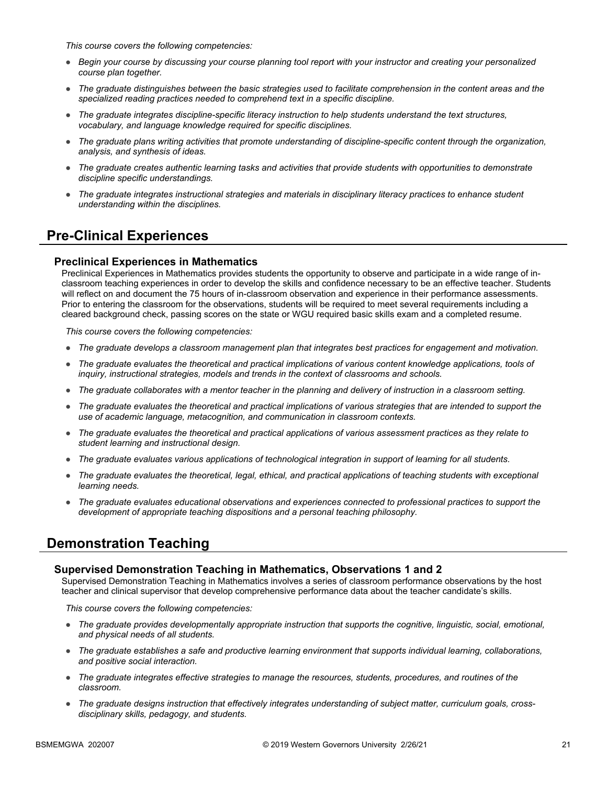*This course covers the following competencies:*

- *Begin your course by discussing your course planning tool report with your instructor and creating your personalized course plan together.*
- *The graduate distinguishes between the basic strategies used to facilitate comprehension in the content areas and the specialized reading practices needed to comprehend text in a specific discipline.*
- *The graduate integrates discipline-specific literacy instruction to help students understand the text structures, vocabulary, and language knowledge required for specific disciplines.*
- *The graduate plans writing activities that promote understanding of discipline-specific content through the organization, analysis, and synthesis of ideas.*
- *The graduate creates authentic learning tasks and activities that provide students with opportunities to demonstrate discipline specific understandings.*
- *The graduate integrates instructional strategies and materials in disciplinary literacy practices to enhance student understanding within the disciplines.*

### **Pre-Clinical Experiences**

#### **Preclinical Experiences in Mathematics**

Preclinical Experiences in Mathematics provides students the opportunity to observe and participate in a wide range of inclassroom teaching experiences in order to develop the skills and confidence necessary to be an effective teacher. Students will reflect on and document the 75 hours of in-classroom observation and experience in their performance assessments. Prior to entering the classroom for the observations, students will be required to meet several requirements including a cleared background check, passing scores on the state or WGU required basic skills exam and a completed resume.

*This course covers the following competencies:*

- *The graduate develops a classroom management plan that integrates best practices for engagement and motivation.*
- The graduate evaluates the theoretical and practical implications of various content knowledge applications, tools of *inquiry, instructional strategies, models and trends in the context of classrooms and schools.*
- *The graduate collaborates with a mentor teacher in the planning and delivery of instruction in a classroom setting.*
- *The graduate evaluates the theoretical and practical implications of various strategies that are intended to support the use of academic language, metacognition, and communication in classroom contexts.*
- *The graduate evaluates the theoretical and practical applications of various assessment practices as they relate to student learning and instructional design.*
- *The graduate evaluates various applications of technological integration in support of learning for all students.*
- *The graduate evaluates the theoretical, legal, ethical, and practical applications of teaching students with exceptional learning needs.*
- *The graduate evaluates educational observations and experiences connected to professional practices to support the development of appropriate teaching dispositions and a personal teaching philosophy.*

### **Demonstration Teaching**

#### **Supervised Demonstration Teaching in Mathematics, Observations 1 and 2**

Supervised Demonstration Teaching in Mathematics involves a series of classroom performance observations by the host teacher and clinical supervisor that develop comprehensive performance data about the teacher candidate's skills.

- *The graduate provides developmentally appropriate instruction that supports the cognitive, linguistic, social, emotional, and physical needs of all students.*
- *The graduate establishes a safe and productive learning environment that supports individual learning, collaborations, and positive social interaction.*
- *The graduate integrates effective strategies to manage the resources, students, procedures, and routines of the classroom.*
- The graduate designs instruction that effectively integrates understanding of subject matter, curriculum goals, cross*disciplinary skills, pedagogy, and students.*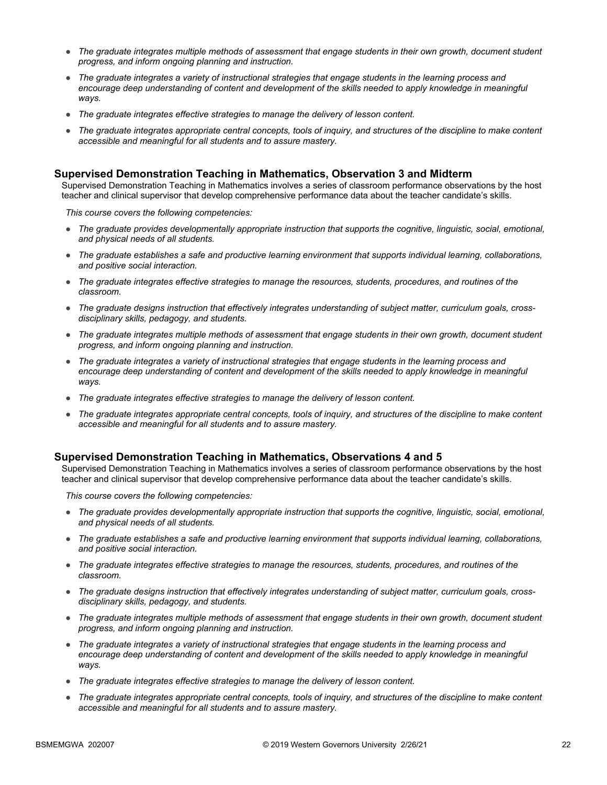- *The graduate integrates multiple methods of assessment that engage students in their own growth, document student progress, and inform ongoing planning and instruction.*
- *The graduate integrates a variety of instructional strategies that engage students in the learning process and*  encourage deep understanding of content and development of the skills needed to apply knowledge in meaningful *ways.*
- *The graduate integrates effective strategies to manage the delivery of lesson content.*
- *The graduate integrates appropriate central concepts, tools of inquiry, and structures of the discipline to make content accessible and meaningful for all students and to assure mastery.*

#### **Supervised Demonstration Teaching in Mathematics, Observation 3 and Midterm**

Supervised Demonstration Teaching in Mathematics involves a series of classroom performance observations by the host teacher and clinical supervisor that develop comprehensive performance data about the teacher candidate's skills.

*This course covers the following competencies:*

- *The graduate provides developmentally appropriate instruction that supports the cognitive, linguistic, social, emotional, and physical needs of all students.*
- *The graduate establishes a safe and productive learning environment that supports individual learning, collaborations, and positive social interaction.*
- *The graduate integrates effective strategies to manage the resources, students, procedures, and routines of the classroom.*
- The graduate designs instruction that effectively integrates understanding of subject matter, curriculum goals, cross*disciplinary skills, pedagogy, and students.*
- *The graduate integrates multiple methods of assessment that engage students in their own growth, document student progress, and inform ongoing planning and instruction.*
- *The graduate integrates a variety of instructional strategies that engage students in the learning process and*  encourage deep understanding of content and development of the skills needed to apply knowledge in meaningful *ways.*
- *The graduate integrates effective strategies to manage the delivery of lesson content.*
- *The graduate integrates appropriate central concepts, tools of inquiry, and structures of the discipline to make content accessible and meaningful for all students and to assure mastery.*

#### **Supervised Demonstration Teaching in Mathematics, Observations 4 and 5**

Supervised Demonstration Teaching in Mathematics involves a series of classroom performance observations by the host teacher and clinical supervisor that develop comprehensive performance data about the teacher candidate's skills.

- *The graduate provides developmentally appropriate instruction that supports the cognitive, linguistic, social, emotional, and physical needs of all students.*
- *The graduate establishes a safe and productive learning environment that supports individual learning, collaborations, and positive social interaction.*
- *The graduate integrates effective strategies to manage the resources, students, procedures, and routines of the classroom.*
- The graduate designs instruction that effectively integrates understanding of subject matter, curriculum goals, cross*disciplinary skills, pedagogy, and students.*
- *The graduate integrates multiple methods of assessment that engage students in their own growth, document student progress, and inform ongoing planning and instruction.*
- *The graduate integrates a variety of instructional strategies that engage students in the learning process and*  encourage deep understanding of content and development of the skills needed to apply knowledge in meaningful *ways.*
- *The graduate integrates effective strategies to manage the delivery of lesson content.*
- *The graduate integrates appropriate central concepts, tools of inquiry, and structures of the discipline to make content accessible and meaningful for all students and to assure mastery.*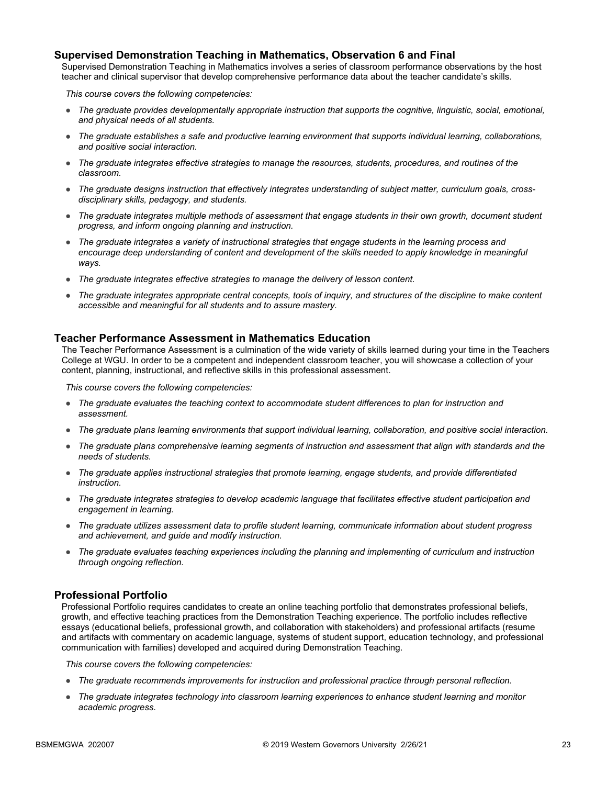#### **Supervised Demonstration Teaching in Mathematics, Observation 6 and Final**

Supervised Demonstration Teaching in Mathematics involves a series of classroom performance observations by the host teacher and clinical supervisor that develop comprehensive performance data about the teacher candidate's skills.

*This course covers the following competencies:*

- *The graduate provides developmentally appropriate instruction that supports the cognitive, linguistic, social, emotional, and physical needs of all students.*
- *The graduate establishes a safe and productive learning environment that supports individual learning, collaborations, and positive social interaction.*
- *The graduate integrates effective strategies to manage the resources, students, procedures, and routines of the classroom.*
- The graduate designs instruction that effectively integrates understanding of subject matter, curriculum goals, cross*disciplinary skills, pedagogy, and students.*
- *The graduate integrates multiple methods of assessment that engage students in their own growth, document student progress, and inform ongoing planning and instruction.*
- *The graduate integrates a variety of instructional strategies that engage students in the learning process and*  encourage deep understanding of content and development of the skills needed to apply knowledge in meaningful *ways.*
- *The graduate integrates effective strategies to manage the delivery of lesson content.*
- The graduate integrates appropriate central concepts, tools of inquiry, and structures of the discipline to make content *accessible and meaningful for all students and to assure mastery.*

#### **Teacher Performance Assessment in Mathematics Education**

The Teacher Performance Assessment is a culmination of the wide variety of skills learned during your time in the Teachers College at WGU. In order to be a competent and independent classroom teacher, you will showcase a collection of your content, planning, instructional, and reflective skills in this professional assessment.

*This course covers the following competencies:*

- *The graduate evaluates the teaching context to accommodate student differences to plan for instruction and assessment.*
- *The graduate plans learning environments that support individual learning, collaboration, and positive social interaction.*
- *The graduate plans comprehensive learning segments of instruction and assessment that align with standards and the needs of students.*
- *The graduate applies instructional strategies that promote learning, engage students, and provide differentiated instruction.*
- *The graduate integrates strategies to develop academic language that facilitates effective student participation and engagement in learning.*
- *The graduate utilizes assessment data to profile student learning, communicate information about student progress and achievement, and guide and modify instruction.*
- *The graduate evaluates teaching experiences including the planning and implementing of curriculum and instruction through ongoing reflection.*

#### **Professional Portfolio**

Professional Portfolio requires candidates to create an online teaching portfolio that demonstrates professional beliefs, growth, and effective teaching practices from the Demonstration Teaching experience. The portfolio includes reflective essays (educational beliefs, professional growth, and collaboration with stakeholders) and professional artifacts (resume and artifacts with commentary on academic language, systems of student support, education technology, and professional communication with families) developed and acquired during Demonstration Teaching.

- *The graduate recommends improvements for instruction and professional practice through personal reflection.*
- *The graduate integrates technology into classroom learning experiences to enhance student learning and monitor academic progress.*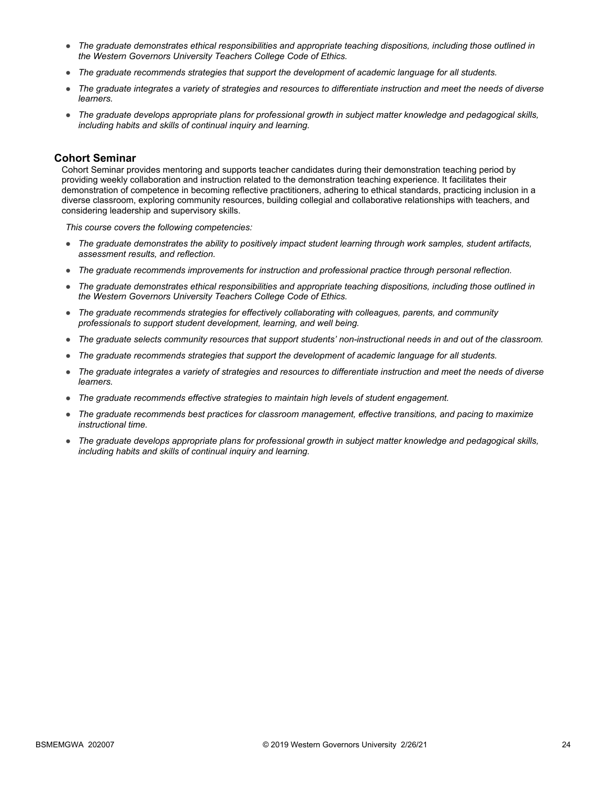- *The graduate demonstrates ethical responsibilities and appropriate teaching dispositions, including those outlined in the Western Governors University Teachers College Code of Ethics.*
- *The graduate recommends strategies that support the development of academic language for all students.*
- *The graduate integrates a variety of strategies and resources to differentiate instruction and meet the needs of diverse learners.*
- *The graduate develops appropriate plans for professional growth in subject matter knowledge and pedagogical skills, including habits and skills of continual inquiry and learning.*

#### **Cohort Seminar**

Cohort Seminar provides mentoring and supports teacher candidates during their demonstration teaching period by providing weekly collaboration and instruction related to the demonstration teaching experience. It facilitates their demonstration of competence in becoming reflective practitioners, adhering to ethical standards, practicing inclusion in a diverse classroom, exploring community resources, building collegial and collaborative relationships with teachers, and considering leadership and supervisory skills.

- *The graduate demonstrates the ability to positively impact student learning through work samples, student artifacts, assessment results, and reflection.*
- *The graduate recommends improvements for instruction and professional practice through personal reflection.*
- *The graduate demonstrates ethical responsibilities and appropriate teaching dispositions, including those outlined in the Western Governors University Teachers College Code of Ethics.*
- *The graduate recommends strategies for effectively collaborating with colleagues, parents, and community professionals to support student development, learning, and well being.*
- *The graduate selects community resources that support students' non-instructional needs in and out of the classroom.*
- *The graduate recommends strategies that support the development of academic language for all students.*
- *The graduate integrates a variety of strategies and resources to differentiate instruction and meet the needs of diverse learners.*
- *The graduate recommends effective strategies to maintain high levels of student engagement.*
- *The graduate recommends best practices for classroom management, effective transitions, and pacing to maximize instructional time.*
- *The graduate develops appropriate plans for professional growth in subject matter knowledge and pedagogical skills, including habits and skills of continual inquiry and learning.*